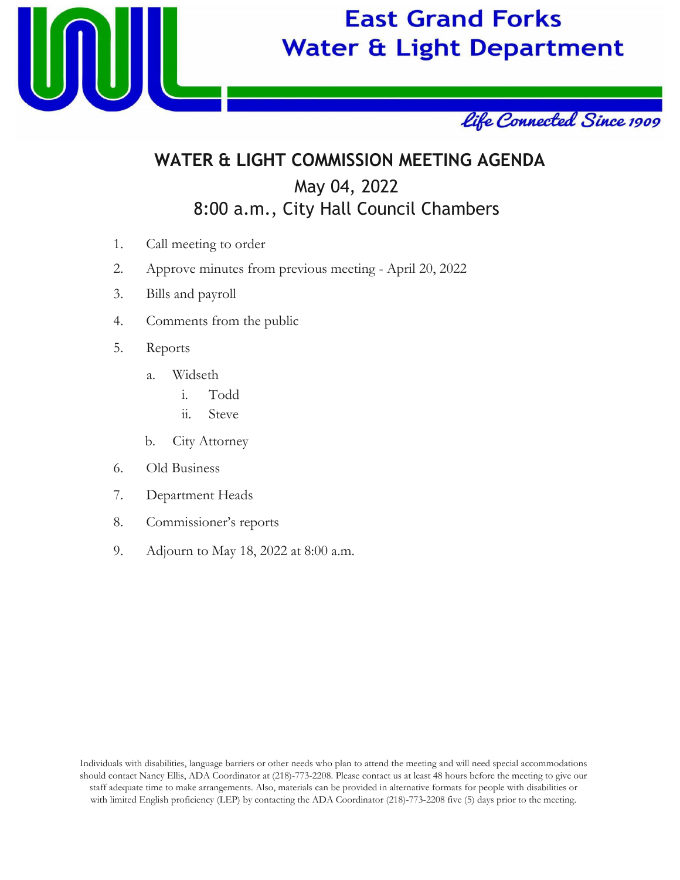

# **East Grand Forks Water & Light Department**



## **WATER & LIGHT COMMISSION MEETING AGENDA** May 04, 2022 8:00 a.m., City Hall Council Chambers

- 1. Call meeting to order
- 2. Approve minutes from previous meeting April 20, 2022
- 3. Bills and payroll
- 4. Comments from the public
- 5. Reports
	- a. Widseth
		- i. Todd
		- ii. Steve
	- b. City Attorney
- 6. Old Business
- 7. Department Heads
- 8. Commissioner's reports
- 9. Adjourn to May 18, 2022 at 8:00 a.m.

Individuals with disabilities, language barriers or other needs who plan to attend the meeting and will need special accommodations should contact Nancy Ellis, ADA Coordinator at (218)-773-2208. Please contact us at least 48 hours before the meeting to give our staff adequate time to make arrangements. Also, materials can be provided in alternative formats for people with disabilities or with limited English proficiency (LEP) by contacting the ADA Coordinator (218)-773-2208 five (5) days prior to the meeting.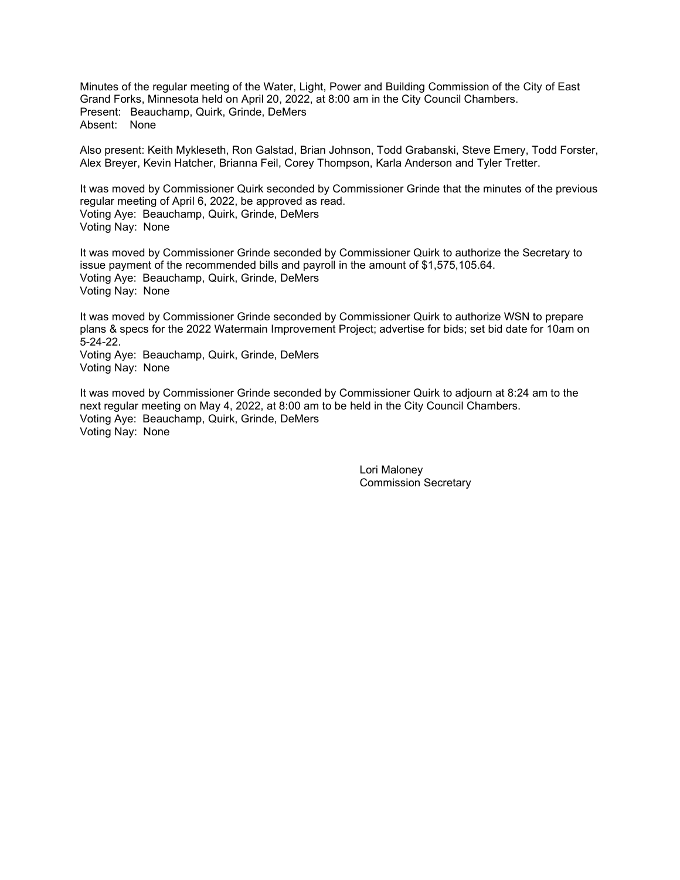Minutes of the regular meeting of the Water, Light, Power and Building Commission of the City of East Grand Forks, Minnesota held on April 20, 2022, at 8:00 am in the City Council Chambers. Present: Beauchamp, Quirk, Grinde, DeMers Absent: None

Also present: Keith Mykleseth, Ron Galstad, Brian Johnson, Todd Grabanski, Steve Emery, Todd Forster, Alex Breyer, Kevin Hatcher, Brianna Feil, Corey Thompson, Karla Anderson and Tyler Tretter.

It was moved by Commissioner Quirk seconded by Commissioner Grinde that the minutes of the previous regular meeting of April 6, 2022, be approved as read. Voting Aye: Beauchamp, Quirk, Grinde, DeMers Voting Nay: None

It was moved by Commissioner Grinde seconded by Commissioner Quirk to authorize the Secretary to issue payment of the recommended bills and payroll in the amount of \$1,575,105.64. Voting Aye: Beauchamp, Quirk, Grinde, DeMers Voting Nay: None

It was moved by Commissioner Grinde seconded by Commissioner Quirk to authorize WSN to prepare plans & specs for the 2022 Watermain Improvement Project; advertise for bids; set bid date for 10am on 5-24-22.

Voting Aye: Beauchamp, Quirk, Grinde, DeMers Voting Nay: None

It was moved by Commissioner Grinde seconded by Commissioner Quirk to adjourn at 8:24 am to the next regular meeting on May 4, 2022, at 8:00 am to be held in the City Council Chambers. Voting Aye: Beauchamp, Quirk, Grinde, DeMers Voting Nay: None

> Lori Maloney Commission Secretary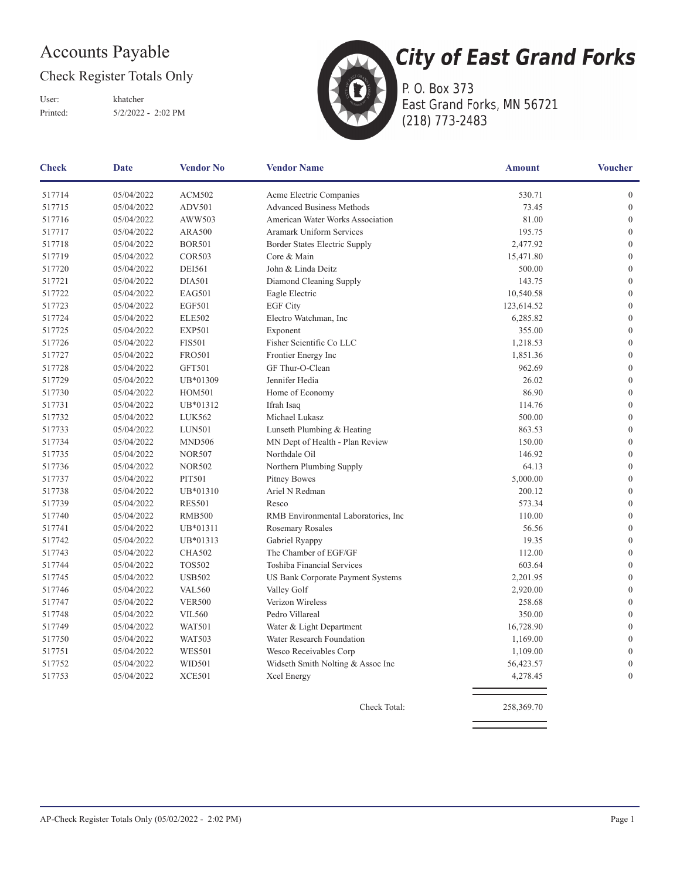### **Accounts Payable**

#### Check Register Totals Only

User: Printed:

khatcher  $5/2/2022 - 2:02 \text{ PM}$ 



P. O. Box 373 East Grand Forks, MN 56721 (218) 773-2483

| <b>Check</b><br>Date |            | <b>Vendor No</b> | <b>Vendor Name</b>                   | <b>Amount</b> | <b>Voucher</b>   |  |
|----------------------|------------|------------------|--------------------------------------|---------------|------------------|--|
| 517714               | 05/04/2022 | <b>ACM502</b>    | Acme Electric Companies              | 530.71        | $\boldsymbol{0}$ |  |
| 517715               | 05/04/2022 | <b>ADV501</b>    | <b>Advanced Business Methods</b>     | 73.45         | $\boldsymbol{0}$ |  |
| 517716               | 05/04/2022 | AWW503           | American Water Works Association     | 81.00         | $\overline{0}$   |  |
| 517717               | 05/04/2022 | <b>ARA500</b>    | Aramark Uniform Services             | 195.75        | $\boldsymbol{0}$ |  |
| 517718               | 05/04/2022 | <b>BOR501</b>    | Border States Electric Supply        | 2,477.92      | $\boldsymbol{0}$ |  |
| 517719               | 05/04/2022 | <b>COR503</b>    | Core & Main                          | 15,471.80     | $\boldsymbol{0}$ |  |
| 517720               | 05/04/2022 | <b>DEI561</b>    | John & Linda Deitz                   | 500.00        | $\boldsymbol{0}$ |  |
| 517721               | 05/04/2022 | <b>DIA501</b>    | Diamond Cleaning Supply              | 143.75        | $\overline{0}$   |  |
| 517722               | 05/04/2022 | <b>EAG501</b>    | Eagle Electric                       | 10,540.58     | $\boldsymbol{0}$ |  |
| 517723               | 05/04/2022 | <b>EGF501</b>    | <b>EGF City</b>                      | 123,614.52    | $\boldsymbol{0}$ |  |
| 517724               | 05/04/2022 | <b>ELE502</b>    | Electro Watchman, Inc                | 6,285.82      | $\boldsymbol{0}$ |  |
| 517725               | 05/04/2022 | <b>EXP501</b>    | Exponent                             | 355.00        | $\mathbf{0}$     |  |
| 517726               | 05/04/2022 | <b>FIS501</b>    | Fisher Scientific Co LLC             | 1,218.53      | $\boldsymbol{0}$ |  |
| 517727               | 05/04/2022 | <b>FRO501</b>    | Frontier Energy Inc                  | 1,851.36      | $\boldsymbol{0}$ |  |
| 517728               | 05/04/2022 | <b>GFT501</b>    | GF Thur-O-Clean                      | 962.69        | $\mathbf{0}$     |  |
| 517729               | 05/04/2022 | UB*01309         | Jennifer Hedia                       | 26.02         | $\boldsymbol{0}$ |  |
| 517730               | 05/04/2022 | <b>HOM501</b>    | Home of Economy                      | 86.90         | $\mathbf{0}$     |  |
| 517731               | 05/04/2022 | UB*01312         | Ifrah Isaq                           | 114.76        | $\boldsymbol{0}$ |  |
| 517732               | 05/04/2022 | LUK562           | Michael Lukasz                       | 500.00        | $\boldsymbol{0}$ |  |
| 517733               | 05/04/2022 | <b>LUN501</b>    | Lunseth Plumbing & Heating           | 863.53        | $\boldsymbol{0}$ |  |
| 517734               | 05/04/2022 | <b>MND506</b>    | MN Dept of Health - Plan Review      | 150.00        | $\boldsymbol{0}$ |  |
| 517735               | 05/04/2022 | <b>NOR507</b>    | Northdale Oil                        | 146.92        | $\overline{0}$   |  |
| 517736               | 05/04/2022 | <b>NOR502</b>    | Northern Plumbing Supply             | 64.13         | $\boldsymbol{0}$ |  |
| 517737               | 05/04/2022 | <b>PIT501</b>    | Pitney Bowes                         | 5,000.00      | $\boldsymbol{0}$ |  |
| 517738               | 05/04/2022 | UB*01310         | Ariel N Redman                       | 200.12        | $\boldsymbol{0}$ |  |
| 517739               | 05/04/2022 | <b>RES501</b>    | Resco                                | 573.34        | $\mathbf{0}$     |  |
| 517740               | 05/04/2022 | <b>RMB500</b>    | RMB Environmental Laboratories, Inc. | 110.00        | $\boldsymbol{0}$ |  |
| 517741               | 05/04/2022 | UB*01311         | Rosemary Rosales                     | 56.56         | $\boldsymbol{0}$ |  |
| 517742               | 05/04/2022 | UB*01313         | Gabriel Ryappy                       | 19.35         | $\boldsymbol{0}$ |  |
| 517743               | 05/04/2022 | <b>CHA502</b>    | The Chamber of EGF/GF                | 112.00        | $\mathbf{0}$     |  |
| 517744               | 05/04/2022 | <b>TOS502</b>    | Toshiba Financial Services           | 603.64        | $\boldsymbol{0}$ |  |
| 517745               | 05/04/2022 | <b>USB502</b>    | US Bank Corporate Payment Systems    | 2,201.95      | $\boldsymbol{0}$ |  |
| 517746               | 05/04/2022 | <b>VAL560</b>    | Valley Golf                          | 2,920.00      | $\boldsymbol{0}$ |  |
| 517747               | 05/04/2022 | <b>VER500</b>    | Verizon Wireless                     | 258.68        | $\boldsymbol{0}$ |  |
| 517748               | 05/04/2022 | <b>VIL560</b>    | Pedro Villareal                      | 350.00        | $\boldsymbol{0}$ |  |
| 517749               | 05/04/2022 | <b>WAT501</b>    | Water & Light Department             | 16,728.90     | $\mathbf{0}$     |  |
| 517750               | 05/04/2022 | <b>WAT503</b>    | Water Research Foundation            | 1,169.00      | $\boldsymbol{0}$ |  |
| 517751               | 05/04/2022 | <b>WES501</b>    | Wesco Receivables Corp               | 1,109.00      | $\boldsymbol{0}$ |  |
| 517752               | 05/04/2022 | <b>WID501</b>    | Widseth Smith Nolting & Assoc Inc    | 56,423.57     | $\mathbf{0}$     |  |
| 517753               | 05/04/2022 | <b>XCE501</b>    | Xcel Energy                          | 4,278.45      | $\overline{0}$   |  |
|                      |            |                  |                                      |               |                  |  |

Check Total:

258,369.70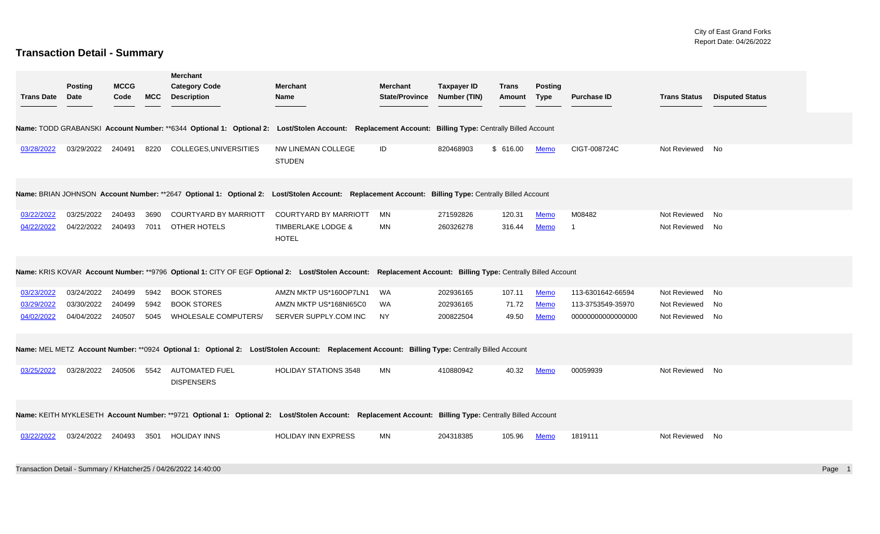#### **Transaction Detail - Summary**

|                   | <b>Posting</b> | <b>MCCG</b> |            | <b>Merchant</b><br><b>Category Code</b>                                                                                                                      | <b>Merchant</b>                               | <b>Merchant</b>       | <b>Taxpayer ID</b> | <b>Trans</b> | <b>Posting</b> |                    |                     |                        |        |
|-------------------|----------------|-------------|------------|--------------------------------------------------------------------------------------------------------------------------------------------------------------|-----------------------------------------------|-----------------------|--------------------|--------------|----------------|--------------------|---------------------|------------------------|--------|
| <b>Trans Date</b> | <b>Date</b>    | Code        | <b>MCC</b> | <b>Description</b>                                                                                                                                           | Name                                          | <b>State/Province</b> | Number (TIN)       | Amount       | <b>Type</b>    | <b>Purchase ID</b> | <b>Trans Status</b> | <b>Disputed Status</b> |        |
|                   |                |             |            |                                                                                                                                                              |                                               |                       |                    |              |                |                    |                     |                        |        |
|                   |                |             |            | Name: TODD GRABANSKI Account Number: **6344 Optional 1: Optional 2: Lost/Stolen Account: Replacement Account: Billing Type: Centrally Billed Account         |                                               |                       |                    |              |                |                    |                     |                        |        |
| 03/28/2022        | 03/29/2022     | 240491      |            | 8220 COLLEGES, UNIVERSITIES                                                                                                                                  | NW LINEMAN COLLEGE<br><b>STUDEN</b>           | ID                    | 820468903          | \$616.00     | Memo           | CIGT-008724C       | Not Reviewed No     |                        |        |
|                   |                |             |            | Name: BRIAN JOHNSON Account Number: **2647 Optional 1: Optional 2: Lost/Stolen Account: Replacement Account: Billing Type: Centrally Billed Account          |                                               |                       |                    |              |                |                    |                     |                        |        |
| 03/22/2022        | 03/25/2022     | 240493      | 3690       | <b>COURTYARD BY MARRIOTT</b>                                                                                                                                 | <b>COURTYARD BY MARRIOTT</b>                  | MN                    | 271592826          | 120.31       | <b>Memo</b>    | M08482             | Not Reviewed No     |                        |        |
| 04/22/2022        | 04/22/2022     | 240493      |            | 7011 OTHER HOTELS                                                                                                                                            | <b>TIMBERLAKE LODGE &amp;</b><br><b>HOTEL</b> | MN                    | 260326278          | 316.44       | Memo           |                    | Not Reviewed No     |                        |        |
|                   |                |             |            | Name: KRIS KOVAR Account Number: **9796 Optional 1: CITY OF EGF Optional 2: Lost/Stolen Account: Replacement Account: Billing Type: Centrally Billed Account |                                               |                       |                    |              |                |                    |                     |                        |        |
| 03/23/2022        | 03/24/2022     | 240499      | 5942       | <b>BOOK STORES</b>                                                                                                                                           | AMZN MKTP US*160OP7LN1                        | <b>WA</b>             | 202936165          | 107.11       | <b>Memo</b>    | 113-6301642-66594  | Not Reviewed No     |                        |        |
| 03/29/2022        | 03/30/2022     | 240499      | 5942       | <b>BOOK STORES</b>                                                                                                                                           | AMZN MKTP US*168NI65C0                        | <b>WA</b>             | 202936165          | 71.72        | <b>Memo</b>    | 113-3753549-35970  | Not Reviewed No     |                        |        |
| 04/02/2022        | 04/04/2022     | 240507      |            | 5045 WHOLESALE COMPUTERS/                                                                                                                                    | SERVER SUPPLY.COM INC                         | <b>NY</b>             | 200822504          | 49.50        | Memo           | 00000000000000000  | Not Reviewed No     |                        |        |
|                   |                |             |            | Name: MEL METZ Account Number: **0924 Optional 1: Optional 2: Lost/Stolen Account: Replacement Account: Billing Type: Centrally Billed Account               |                                               |                       |                    |              |                |                    |                     |                        |        |
| 03/25/2022        | 03/28/2022     | 240506      |            | 5542 AUTOMATED FUEL<br><b>DISPENSERS</b>                                                                                                                     | <b>HOLIDAY STATIONS 3548</b>                  | MN                    | 410880942          | 40.32        | <b>Memo</b>    | 00059939           | Not Reviewed No     |                        |        |
|                   |                |             |            | Name: KEITH MYKLESETH Account Number: **9721 Optional 1: Optional 2: Lost/Stolen Account: Replacement Account: Billing Type: Centrally Billed Account        |                                               |                       |                    |              |                |                    |                     |                        |        |
| 03/22/2022        | 03/24/2022     | 240493      |            | 3501 HOLIDAY INNS                                                                                                                                            | HOLIDAY INN EXPRESS                           | MN                    | 204318385          | 105.96       | Memo           | 1819111            | Not Reviewed No     |                        |        |
|                   |                |             |            | Transaction Detail - Summary / KHatcher25 / 04/26/2022 14:40:00                                                                                              |                                               |                       |                    |              |                |                    |                     |                        | Page 1 |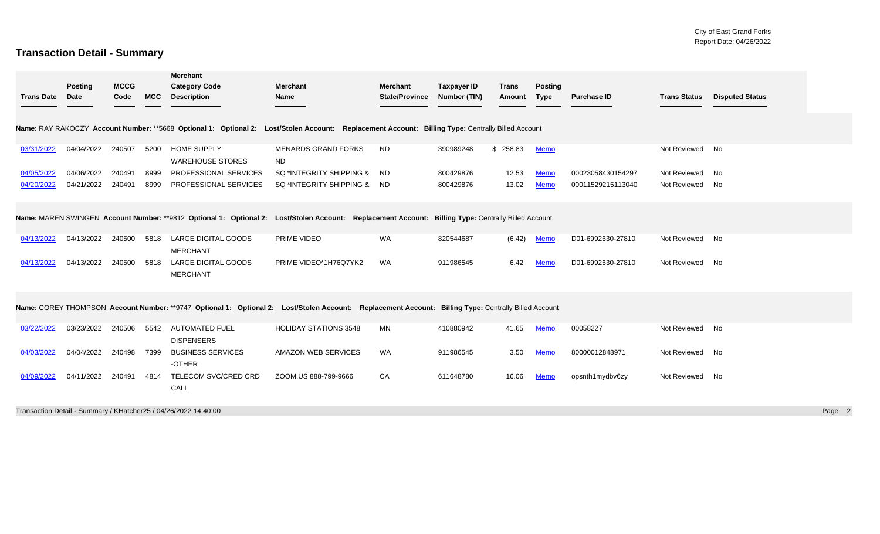#### **Transaction Detail - Summary**

|                   |                        |                     |            | Merchant                                                        |                                                                                                                                                      |                                          |                                    |                        |                               |                    |                     |                        |        |
|-------------------|------------------------|---------------------|------------|-----------------------------------------------------------------|------------------------------------------------------------------------------------------------------------------------------------------------------|------------------------------------------|------------------------------------|------------------------|-------------------------------|--------------------|---------------------|------------------------|--------|
| <b>Trans Date</b> | <b>Posting</b><br>Date | <b>MCCG</b><br>Code | <b>MCC</b> | <b>Category Code</b><br><b>Description</b>                      | <b>Merchant</b><br>Name                                                                                                                              | <b>Merchant</b><br><b>State/Province</b> | <b>Taxpayer ID</b><br>Number (TIN) | <b>Trans</b><br>Amount | <b>Posting</b><br><b>Type</b> | <b>Purchase ID</b> | <b>Trans Status</b> | <b>Disputed Status</b> |        |
|                   |                        |                     |            |                                                                 | Name: RAY RAKOCZY Account Number: **5668 Optional 1: Optional 2: Lost/Stolen Account: Replacement Account: Billing Type: Centrally Billed Account    |                                          |                                    |                        |                               |                    |                     |                        |        |
| 03/31/2022        | 04/04/2022             | 240507              | 5200       | <b>HOME SUPPLY</b><br><b>WAREHOUSE STORES</b>                   | <b>MENARDS GRAND FORKS</b><br><b>ND</b>                                                                                                              | <b>ND</b>                                | 390989248                          | \$258.83               | <b>Memo</b>                   |                    | Not Reviewed No     |                        |        |
| 04/05/2022        | 04/06/2022             | 240491              | 8999       | PROFESSIONAL SERVICES                                           | SQ *INTEGRITY SHIPPING & ND                                                                                                                          |                                          | 800429876                          | 12.53                  | <b>Memo</b>                   | 00023058430154297  | Not Reviewed No     |                        |        |
| 04/20/2022        | 04/21/2022             | 240491              | 8999       | PROFESSIONAL SERVICES                                           | SQ *INTEGRITY SHIPPING & ND                                                                                                                          |                                          | 800429876                          | 13.02                  | Memo                          | 00011529215113040  | Not Reviewed No     |                        |        |
|                   |                        |                     |            |                                                                 | Name: MAREN SWINGEN Account Number: **9812 Optional 1: Optional 2: Lost/Stolen Account: Replacement Account: Billing Type: Centrally Billed Account  |                                          |                                    |                        |                               |                    |                     |                        |        |
| 04/13/2022        | 04/13/2022             | 240500              | 5818       | <b>LARGE DIGITAL GOODS</b><br><b>MERCHANT</b>                   | PRIME VIDEO                                                                                                                                          | <b>WA</b>                                | 820544687                          | (6.42)                 | <b>Memo</b>                   | D01-6992630-27810  | Not Reviewed No     |                        |        |
| 04/13/2022        | 04/13/2022             | 240500              | 5818       | LARGE DIGITAL GOODS<br><b>MERCHANT</b>                          | PRIME VIDEO*1H76Q7YK2                                                                                                                                | <b>WA</b>                                | 911986545                          | 6.42                   | <b>Memo</b>                   | D01-6992630-27810  | Not Reviewed No     |                        |        |
|                   |                        |                     |            |                                                                 | Name: COREY THOMPSON Account Number: **9747 Optional 1: Optional 2: Lost/Stolen Account: Replacement Account: Billing Type: Centrally Billed Account |                                          |                                    |                        |                               |                    |                     |                        |        |
| 03/22/2022        | 03/23/2022             | 240506              | 5542       | <b>AUTOMATED FUEL</b><br><b>DISPENSERS</b>                      | <b>HOLIDAY STATIONS 3548</b>                                                                                                                         | MN                                       | 410880942                          | 41.65                  | <b>Memo</b>                   | 00058227           | Not Reviewed No     |                        |        |
| 04/03/2022        | 04/04/2022             | 240498              | 7399       | <b>BUSINESS SERVICES</b><br>-OTHER                              | AMAZON WEB SERVICES                                                                                                                                  | WA                                       | 911986545                          | 3.50                   | Memo                          | 80000012848971     | Not Reviewed No     |                        |        |
| 04/09/2022        | 04/11/2022             | 240491              | 4814       | TELECOM SVC/CRED CRD<br>CALL                                    | ZOOM.US 888-799-9666                                                                                                                                 | CA                                       | 611648780                          | 16.06                  | <b>Memo</b>                   | opsnth1mydbv6zy    | Not Reviewed No     |                        |        |
|                   |                        |                     |            | Transaction Detail - Summary / KHatcher25 / 04/26/2022 14:40:00 |                                                                                                                                                      |                                          |                                    |                        |                               |                    |                     |                        | Page 2 |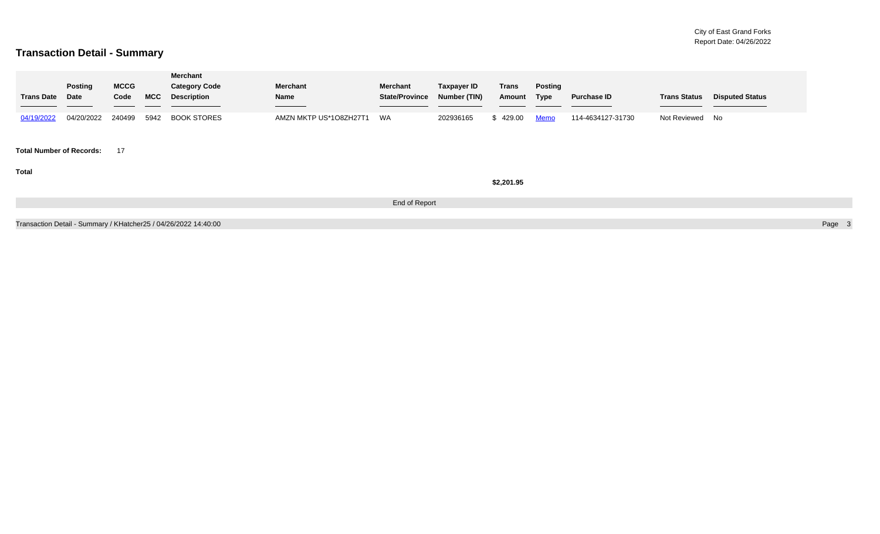#### **Transaction Detail - Summary**

| <b>Trans Date</b>               | <b>Posting</b><br>Date | <b>MCCG</b><br>Code | <b>MCC</b> | Merchant<br><b>Category Code</b><br><b>Description</b>          | <b>Merchant</b><br>Name<br>the contract of the contract of the contract of | Merchant<br><b>State/Province</b> | <b>Taxpayer ID</b><br>Number (TIN) | Trans<br>Amount | <b>Posting</b><br>Type | <b>Purchase ID</b> | <b>Trans Status</b> | <b>Disputed Status</b> |        |
|---------------------------------|------------------------|---------------------|------------|-----------------------------------------------------------------|----------------------------------------------------------------------------|-----------------------------------|------------------------------------|-----------------|------------------------|--------------------|---------------------|------------------------|--------|
| 04/19/2022                      | 04/20/2022             | 240499              |            | 5942 BOOK STORES                                                | AMZN MKTP US*1O8ZH27T1                                                     | WA                                | 202936165                          | \$429.00        | <u>Memo</u>            | 114-4634127-31730  | Not Reviewed No     |                        |        |
| <b>Total Number of Records:</b> |                        | 17                  |            |                                                                 |                                                                            |                                   |                                    |                 |                        |                    |                     |                        |        |
| <b>Total</b>                    |                        |                     |            |                                                                 |                                                                            |                                   |                                    | \$2,201.95      |                        |                    |                     |                        |        |
|                                 |                        |                     |            |                                                                 |                                                                            | End of Report                     |                                    |                 |                        |                    |                     |                        |        |
|                                 |                        |                     |            | Transaction Detail - Summary / KHatcher25 / 04/26/2022 14:40:00 |                                                                            |                                   |                                    |                 |                        |                    |                     |                        | Page 3 |